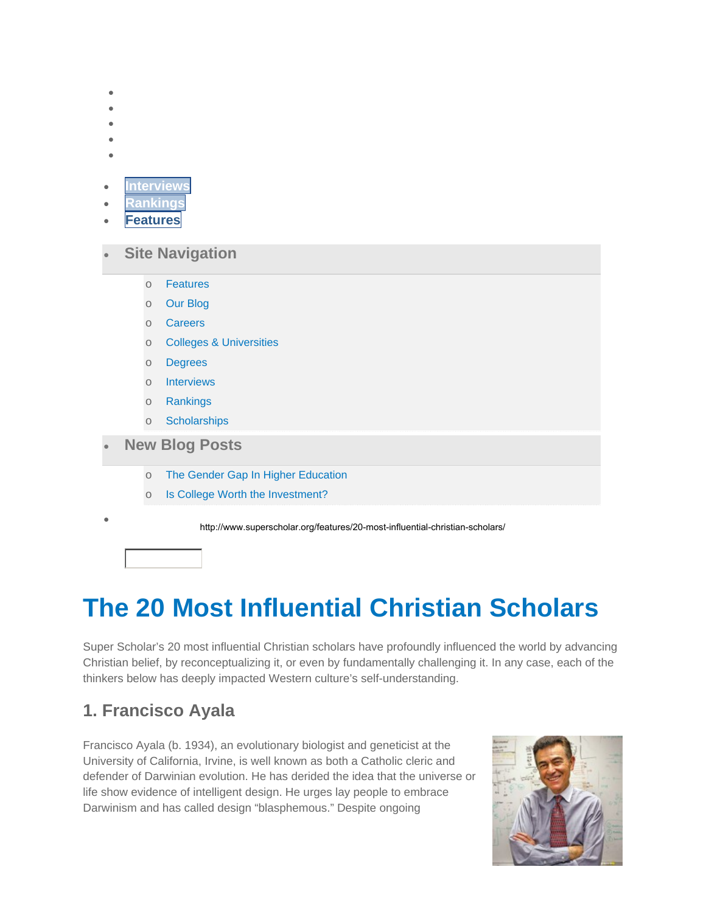# **The 20 Most Influential Christian Scholars**

Super Scholar's 20 most influential Christian scholars have profoundly influenced the world by advancing Christian belief, by reconceptualizing it, or even by fundamentally challenging it. In any case, each of the thinkers below has deeply impacted Western culture's self-understanding.

### **1. Francisco Ayala**

Francisco Ayala (b. 1934), an evolutionary biologist and geneticist at the University of California, Irvine, is well known as both a Catholic cleric and defender of Darwinian evolution. He has derided the idea that the universe or life show evidence of intelligent design. He urges lay people to embrace Darwinism and has called design "blasphemous." Despite ongoing

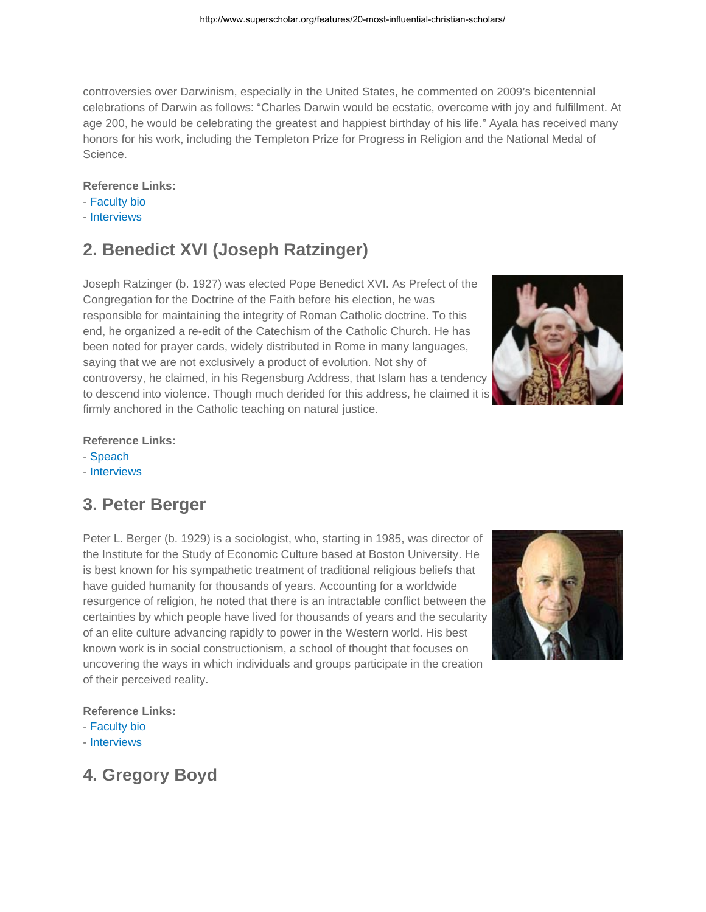controversies over Darwinism, especially in the United States, he commented on 2009's bicentennial celebrations of Darwin as follows: "Charles Darwin would be ecstatic, overcome with joy and fulfillment. At age 200, he would be celebrating the greatest and happiest birthday of his life." Ayala has received many honors for his work, including the Templeton Prize for Progress in Religion and the National Medal of Science.

#### **Reference Links:**

- Faculty bio
- Interviews

# **2. Benedict XVI (Joseph Ratzinger)**

Joseph Ratzinger (b. 1927) was elected Pope Benedict XVI. As Prefect of the Congregation for the Doctrine of the Faith before his election, he was responsible for maintaining the integrity of Roman Catholic doctrine. To this end, he organized a re-edit of the Catechism of the Catholic Church. He has been noted for prayer cards, widely distributed in Rome in many languages, saying that we are not exclusively a product of evolution. Not shy of controversy, he claimed, in his Regensburg Address, that Islam has a tendency to descend into violence. Though much derided for this address, he claimed it is firmly anchored in the Catholic teaching on natural justice.



#### **Reference Links:**

- Speach
- Interviews

# **3. Peter Berger**

Peter L. Berger (b. 1929) is a sociologist, who, starting in 1985, was director of the Institute for the Study of Economic Culture based at Boston University. He is best known for his sympathetic treatment of traditional religious beliefs that have guided humanity for thousands of years. Accounting for a worldwide resurgence of religion, he noted that there is an intractable conflict between the certainties by which people have lived for thousands of years and the secularity of an elite culture advancing rapidly to power in the Western world. His best known work is in social constructionism, a school of thought that focuses on uncovering the ways in which individuals and groups participate in the creation of their perceived reality.



#### **Reference Links:**

- Faculty bio
- Interviews

### **4. Gregory Boyd**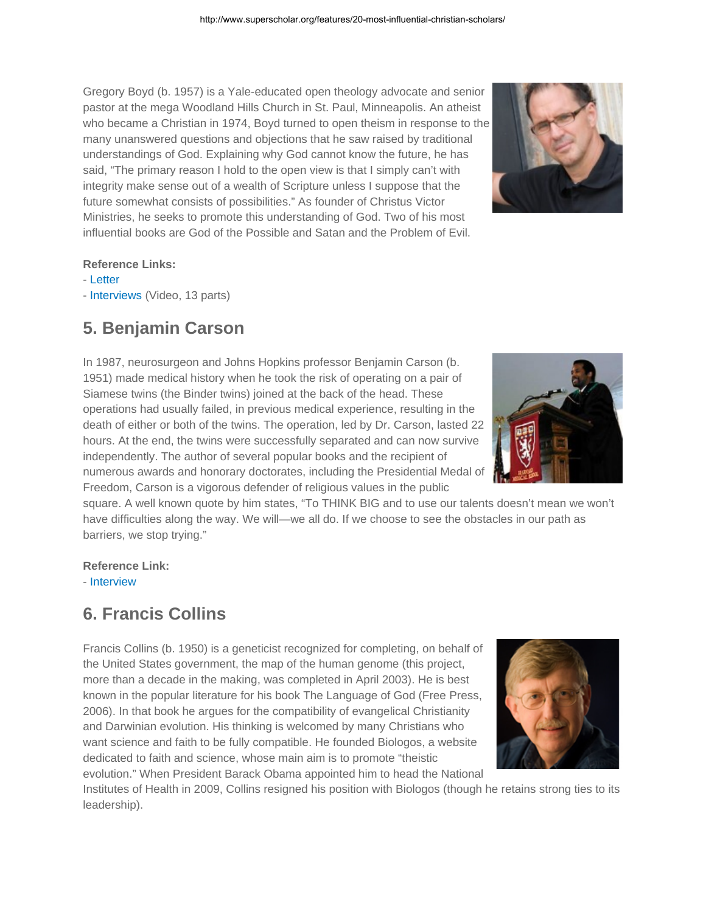Gregory Boyd (b. 1957) is a Yale-educated open theology advocate and senior pastor at the mega Woodland Hills Church in St. Paul, Minneapolis. An atheist who became a Christian in 1974, Boyd turned to open theism in response to the many unanswered questions and objections that he saw raised by traditional understandings of God. Explaining why God cannot know the future, he has said, "The primary reason I hold to the open view is that I simply can't with integrity make sense out of a wealth of Scripture unless I suppose that the future somewhat consists of possibilities." As founder of Christus Victor Ministries, he seeks to promote this understanding of God. Two of his most influential books are God of the Possible and Satan and the Problem of Evil.



#### **Reference Links:**

- Letter
- Interviews (Video, 13 parts)

### **5. Benjamin Carson**

In 1987, neurosurgeon and Johns Hopkins professor Benjamin Carson (b. 1951) made medical history when he took the risk of operating on a pair of Siamese twins (the Binder twins) joined at the back of the head. These operations had usually failed, in previous medical experience, resulting in the death of either or both of the twins. The operation, led by Dr. Carson, lasted 22 hours. At the end, the twins were successfully separated and can now survive independently. The author of several popular books and the recipient of numerous awards and honorary doctorates, including the Presidential Medal of Freedom, Carson is a vigorous defender of religious values in the public

square. A well known quote by him states, "To THINK BIG and to use our talents doesn't mean we won't have difficulties along the way. We will—we all do. If we choose to see the obstacles in our path as barriers, we stop trying."

**Reference Link:** 

- Interview

# **6. Francis Collins**

Francis Collins (b. 1950) is a geneticist recognized for completing, on behalf of the United States government, the map of the human genome (this project, more than a decade in the making, was completed in April 2003). He is best known in the popular literature for his book The Language of God (Free Press, 2006). In that book he argues for the compatibility of evangelical Christianity and Darwinian evolution. His thinking is welcomed by many Christians who want science and faith to be fully compatible. He founded Biologos, a website dedicated to faith and science, whose main aim is to promote "theistic evolution." When President Barack Obama appointed him to head the National



Institutes of Health in 2009, Collins resigned his position with Biologos (though he retains strong ties to its leadership).

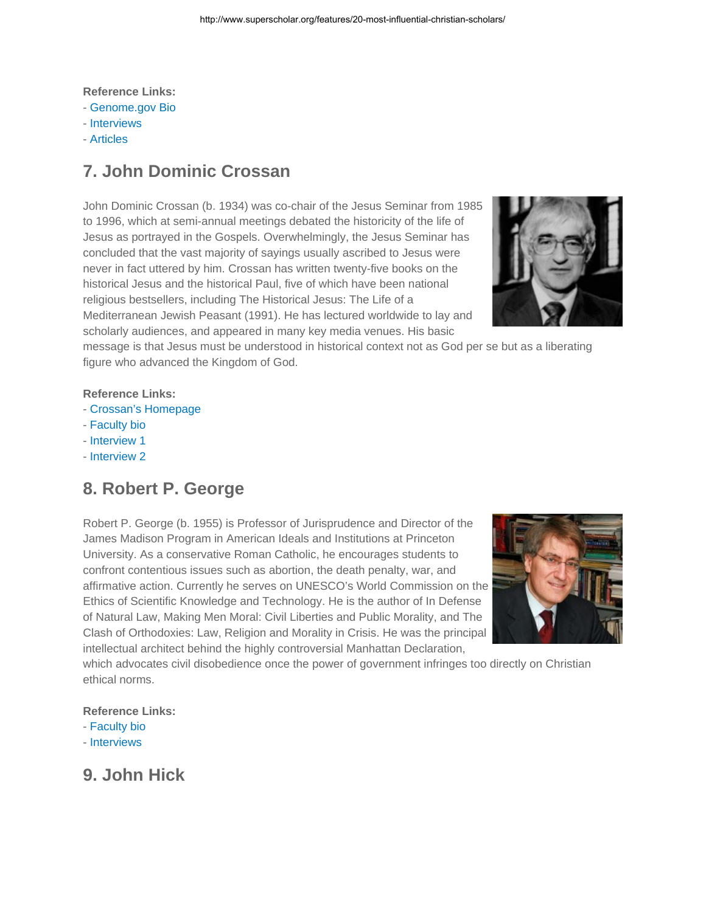**Reference Links:** 

- Genome.gov Bio
- Interviews
- Articles

### **7. John Dominic Crossan**

John Dominic Crossan (b. 1934) was co-chair of the Jesus Seminar from 1985 to 1996, which at semi-annual meetings debated the historicity of the life of Jesus as portrayed in the Gospels. Overwhelmingly, the Jesus Seminar has concluded that the vast majority of sayings usually ascribed to Jesus were never in fact uttered by him. Crossan has written twenty-five books on the historical Jesus and the historical Paul, five of which have been national religious bestsellers, including The Historical Jesus: The Life of a Mediterranean Jewish Peasant (1991). He has lectured worldwide to lay and scholarly audiences, and appeared in many key media venues. His basic



message is that Jesus must be understood in historical context not as God per se but as a liberating figure who advanced the Kingdom of God.

#### **Reference Links:**

- Crossan's Homepage
- Faculty bio
- Interview 1
- Interview 2

### **8. Robert P. George**

Robert P. George (b. 1955) is Professor of Jurisprudence and Director of the James Madison Program in American Ideals and Institutions at Princeton University. As a conservative Roman Catholic, he encourages students to confront contentious issues such as abortion, the death penalty, war, and affirmative action. Currently he serves on UNESCO's World Commission on the Ethics of Scientific Knowledge and Technology. He is the author of In Defense of Natural Law, Making Men Moral: Civil Liberties and Public Morality, and The Clash of Orthodoxies: Law, Religion and Morality in Crisis. He was the principal intellectual architect behind the highly controversial Manhattan Declaration,



which advocates civil disobedience once the power of government infringes too directly on Christian ethical norms.

#### **Reference Links:**

- Faculty bio
- Interviews

### **9. John Hick**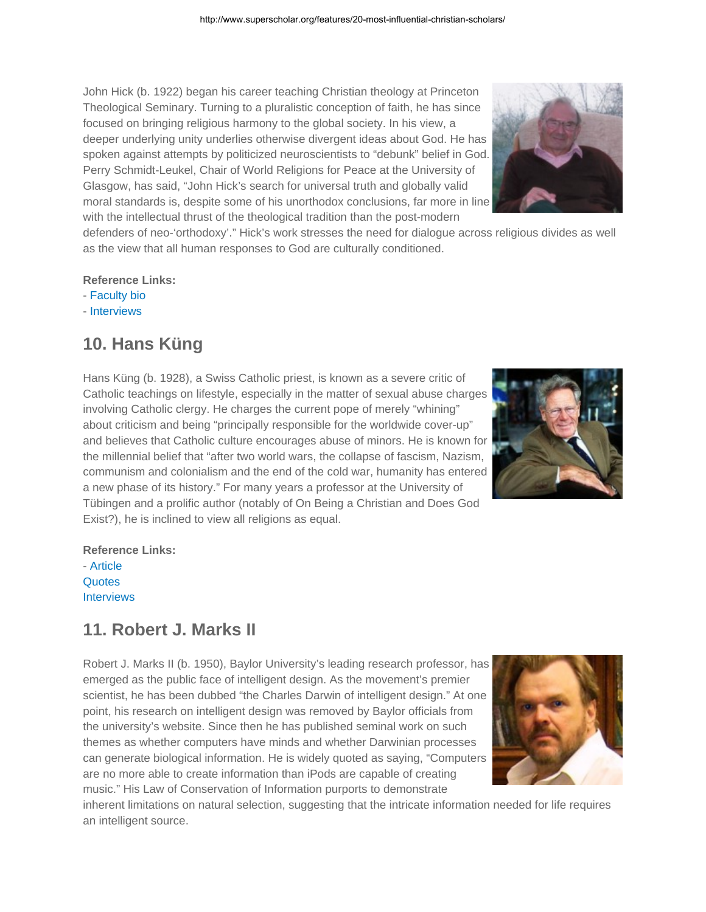John Hick (b. 1922) began his career teaching Christian theology at Princeton Theological Seminary. Turning to a pluralistic conception of faith, he has since focused on bringing religious harmony to the global society. In his view, a deeper underlying unity underlies otherwise divergent ideas about God. He has spoken against attempts by politicized neuroscientists to "debunk" belief in God. Perry Schmidt-Leukel, Chair of World Religions for Peace at the University of Glasgow, has said, "John Hick's search for universal truth and globally valid moral standards is, despite some of his unorthodox conclusions, far more in line with the intellectual thrust of the theological tradition than the post-modern

defenders of neo-'orthodoxy'." Hick's work stresses the need for dialogue across religious divides as well as the view that all human responses to God are culturally conditioned.

#### **Reference Links:**

- Faculty bio
- Interviews

### **10. Hans Küng**

Hans Küng (b. 1928), a Swiss Catholic priest, is known as a severe critic of Catholic teachings on lifestyle, especially in the matter of sexual abuse charges involving Catholic clergy. He charges the current pope of merely "whining" about criticism and being "principally responsible for the worldwide cover-up" and believes that Catholic culture encourages abuse of minors. He is known for the millennial belief that "after two world wars, the collapse of fascism, Nazism, communism and colonialism and the end of the cold war, humanity has entered a new phase of its history." For many years a professor at the University of Tübingen and a prolific author (notably of On Being a Christian and Does God Exist?), he is inclined to view all religions as equal.



### **11. Robert J. Marks II**

Robert J. Marks II (b. 1950), Baylor University's leading research professor, has emerged as the public face of intelligent design. As the movement's premier scientist, he has been dubbed "the Charles Darwin of intelligent design." At one point, his research on intelligent design was removed by Baylor officials from the university's website. Since then he has published seminal work on such themes as whether computers have minds and whether Darwinian processes can generate biological information. He is widely quoted as saying, "Computers are no more able to create information than iPods are capable of creating music." His Law of Conservation of Information purports to demonstrate

inherent limitations on natural selection, suggesting that the intricate information needed for life requires an intelligent source.





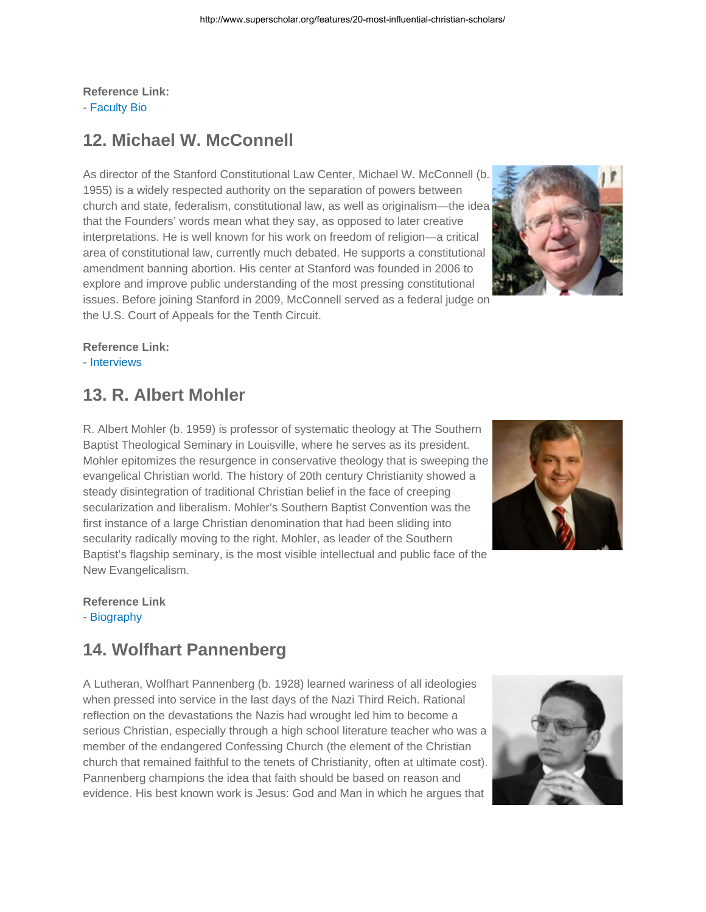**Reference Link:** - Faculty Bio

### **12. Michael W. McConnell**

As director of the Stanford Constitutional Law Center, Michael W. McConnell (b. 1955) is a widely respected authority on the separation of powers between church and state, federalism, constitutional law, as well as originalism—the idea that the Founders' words mean what they say, as opposed to later creative interpretations. He is well known for his work on freedom of religion—a critical area of constitutional law, currently much debated. He supports a constitutional amendment banning abortion. His center at Stanford was founded in 2006 to explore and improve public understanding of the most pressing constitutional issues. Before joining Stanford in 2009, McConnell served as a federal judge on the U.S. Court of Appeals for the Tenth Circuit.



**Reference Link:**

- Interviews

### **13. R. Albert Mohler**

R. Albert Mohler (b. 1959) is professor of systematic theology at The Southern Baptist Theological Seminary in Louisville, where he serves as its president. Mohler epitomizes the resurgence in conservative theology that is sweeping the evangelical Christian world. The history of 20th century Christianity showed a steady disintegration of traditional Christian belief in the face of creeping secularization and liberalism. Mohler's Southern Baptist Convention was the first instance of a large Christian denomination that had been sliding into secularity radically moving to the right. Mohler, as leader of the Southern Baptist's flagship seminary, is the most visible intellectual and public face of the New Evangelicalism.



**Reference Link**

- Biography

### **14. Wolfhart Pannenberg**

A Lutheran, Wolfhart Pannenberg (b. 1928) learned wariness of all ideologies when pressed into service in the last days of the Nazi Third Reich. Rational reflection on the devastations the Nazis had wrought led him to become a serious Christian, especially through a high school literature teacher who was a member of the endangered Confessing Church (the element of the Christian church that remained faithful to the tenets of Christianity, often at ultimate cost). Pannenberg champions the idea that faith should be based on reason and evidence. His best known work is Jesus: God and Man in which he argues that

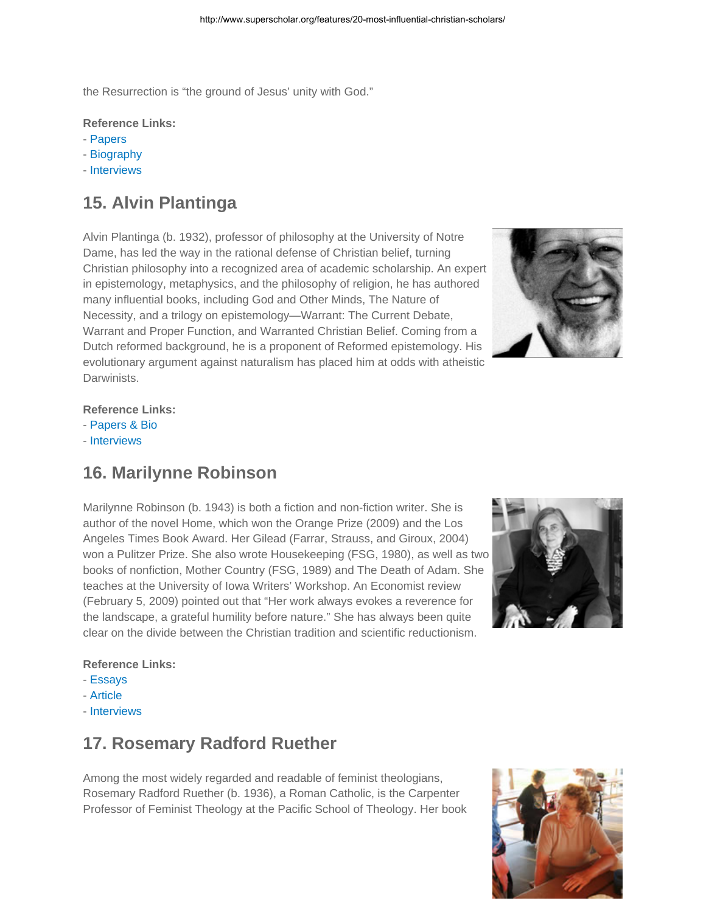the Resurrection is "the ground of Jesus' unity with God."

#### **Reference Links:**

- Papers
- Biography
- Interviews

# **15. Alvin Plantinga**

Alvin Plantinga (b. 1932), professor of philosophy at the University of Notre Dame, has led the way in the rational defense of Christian belief, turning Christian philosophy into a recognized area of academic scholarship. An expert in epistemology, metaphysics, and the philosophy of religion, he has authored many influential books, including God and Other Minds, The Nature of Necessity, and a trilogy on epistemology—Warrant: The Current Debate, Warrant and Proper Function, and Warranted Christian Belief. Coming from a Dutch reformed background, he is a proponent of Reformed epistemology. His evolutionary argument against naturalism has placed him at odds with atheistic **Darwinists** 



#### **Reference Links:**

- Papers & Bio
- Interviews

### **16. Marilynne Robinson**

Marilynne Robinson (b. 1943) is both a fiction and non-fiction writer. She is author of the novel Home, which won the Orange Prize (2009) and the Los Angeles Times Book Award. Her Gilead (Farrar, Strauss, and Giroux, 2004) won a Pulitzer Prize. She also wrote Housekeeping (FSG, 1980), as well as two books of nonfiction, Mother Country (FSG, 1989) and The Death of Adam. She teaches at the University of Iowa Writers' Workshop. An Economist review (February 5, 2009) pointed out that "Her work always evokes a reverence for the landscape, a grateful humility before nature." She has always been quite clear on the divide between the Christian tradition and scientific reductionism.



#### **Reference Links:**

- Essays
- Article
- Interviews

### **17. Rosemary Radford Ruether**

Among the most widely regarded and readable of feminist theologians, Rosemary Radford Ruether (b. 1936), a Roman Catholic, is the Carpenter Professor of Feminist Theology at the Pacific School of Theology. Her book

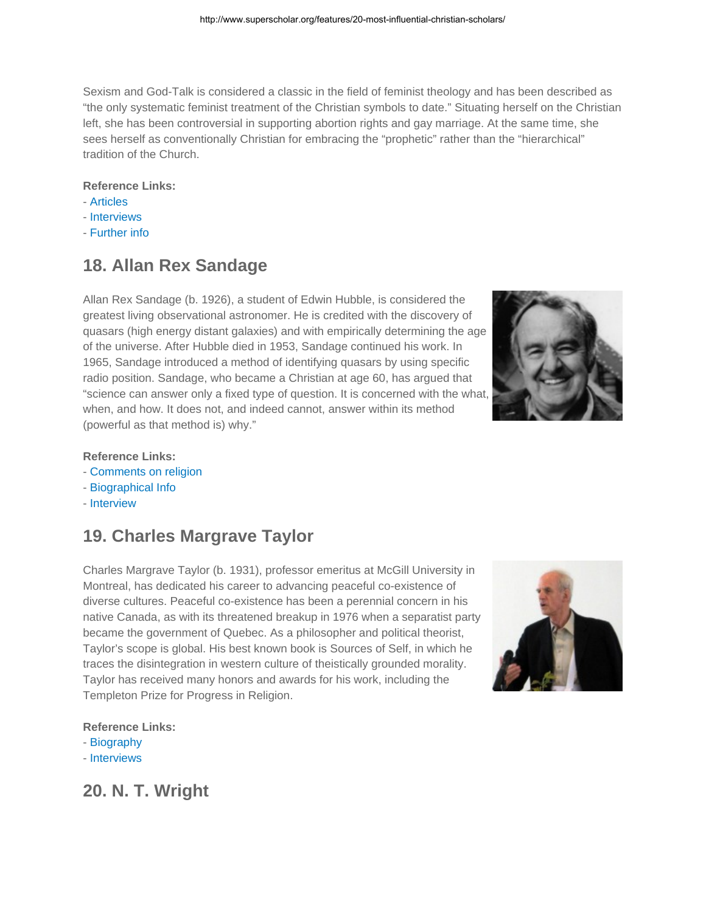Sexism and God-Talk is considered a classic in the field of feminist theology and has been described as "the only systematic feminist treatment of the Christian symbols to date." Situating herself on the Christian left, she has been controversial in supporting abortion rights and gay marriage. At the same time, she sees herself as conventionally Christian for embracing the "prophetic" rather than the "hierarchical" tradition of the Church.

#### **Reference Links:**

- Articles
- Interviews
- Further info

### **18. Allan Rex Sandage**

Allan Rex Sandage (b. 1926), a student of Edwin Hubble, is considered the greatest living observational astronomer. He is credited with the discovery of quasars (high energy distant galaxies) and with empirically determining the age of the universe. After Hubble died in 1953, Sandage continued his work. In 1965, Sandage introduced a method of identifying quasars by using specific radio position. Sandage, who became a Christian at age 60, has argued that "science can answer only a fixed type of question. It is concerned with the what, when, and how. It does not, and indeed cannot, answer within its method (powerful as that method is) why."



- **Reference Links:**
- Comments on religion
- Biographical Info
- Interview

# **19. Charles Margrave Taylor**

Charles Margrave Taylor (b. 1931), professor emeritus at McGill University in Montreal, has dedicated his career to advancing peaceful co-existence of diverse cultures. Peaceful co-existence has been a perennial concern in his native Canada, as with its threatened breakup in 1976 when a separatist party became the government of Quebec. As a philosopher and political theorist, Taylor's scope is global. His best known book is Sources of Self, in which he traces the disintegration in western culture of theistically grounded morality. Taylor has received many honors and awards for his work, including the Templeton Prize for Progress in Religion.



#### **Reference Links:**

- Biography
- Interviews

**20. N. T. Wright**